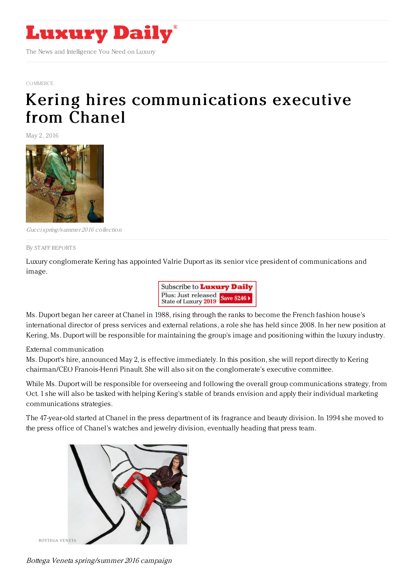

[COMMERCE](https://www.luxurydaily.com/category/news/commerce-news/)

## Kering hires [communications](https://www.luxurydaily.com/kering-hires-communications-executive-from-chanel/) executive from Chanel

May 2, 2016



Guccispring/summer 2016 collection

## By STAFF [REPORT](file:///author/staff-reports) S

Luxury conglomerate Kering has appointed Valrie Duport as its senior vice president of communications and image.



Ms. Duport began her career at Chanel in 1988, rising through the ranks to become the French fashion house's international director of press services and external relations, a role she has held since 2008. In her new position at Kering, Ms. Duport will be responsible for maintaining the group's image and positioning within the luxury industry.

External communication

Ms. Duport's hire, announced May 2, is effective immediately. In this position, she will report directly to Kering chairman/CEO Franois-Henri Pinault. She will also sit on the conglomerate's executive committee.

While Ms. Duport will be responsible for overseeing and following the overall group communications strategy, from Oct. 1 she will also be tasked with helping Kering's stable of brands envision and apply their individual marketing communications strategies.

The 47-year-old started at Chanel in the press department of its fragrance and beauty division. In 1994 she moved to the press office of Chanel's watches and jewelry division, eventually heading that press team.



Bottega Veneta spring/summer 2016 campaign